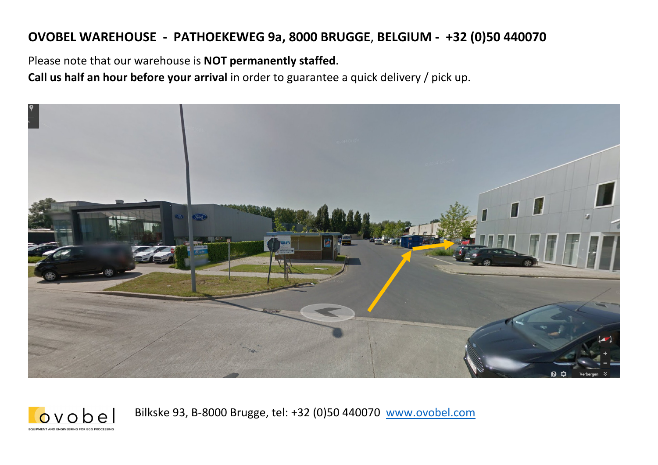# **OVOBEL WAREHOUSE - PATHOEKEWEG 9a, 8000 BRUGGE**, **BELGIUM - +32 (0)50 440070**

Please note that our warehouse is **NOT permanently staffed**.

 $ovobe$ **COURMENT AND ENGINEERING EOR EGG RROCECCE** 

**Call us half an hour before your arrival** in order to guarantee a quick delivery / pick up.



Bilkske 93, B-8000 Brugge, tel: +32 (0)50 440070 www.ovobel.com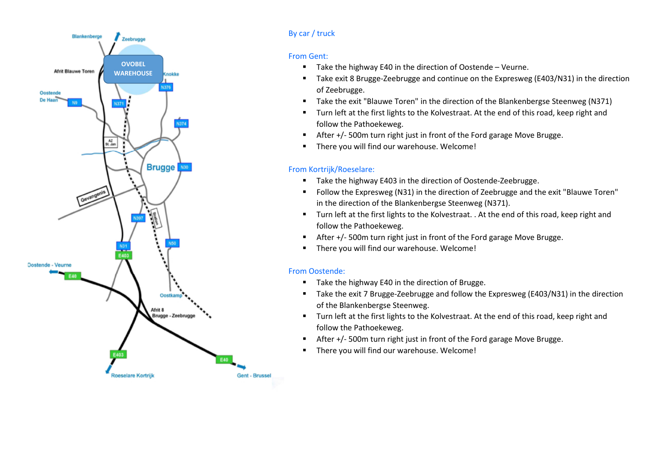

#### By car / truck

#### From Gent:

- ▙ Take the highway E40 in the direction of Oostende – Veurne.
- $\blacksquare$  Take exit 8 Brugge-Zeebrugge and continue on the Expresweg (E403/N31) in the direction of Zeebrugge.
- $\blacksquare$ Take the exit "Blauwe Toren" in the direction of the Blankenbergse Steenweg (N371)
- $\blacksquare$  Turn left at the first lights to the Kolvestraat. At the end of this road, keep right and follow the Pathoekeweg.
- $\blacksquare$ After +/- 500m turn right just in front of the Ford garage Move Brugge.
- $\blacksquare$ There you will find our warehouse. Welcome!

## From Kortrijk/Roeselare:

- $\blacksquare$ Take the highway E403 in the direction of Oostende-Zeebrugge.
- $\blacksquare$  Follow the Expresweg (N31) in the direction of Zeebrugge and the exit "Blauwe Toren" in the direction of the Blankenbergse Steenweg (N371).
- Turn left at the first lights to the Kolvestraat. . At the end of this road, keep right and follow the Pathoekeweg.
- $\blacksquare$ After +/- 500m turn right just in front of the Ford garage Move Brugge.
- $\blacksquare$ There you will find our warehouse. Welcome!

### From Oostende:

- Take the highway E40 in the direction of Brugge.
- $\blacksquare$  Take the exit 7 Brugge-Zeebrugge and follow the Expresweg (E403/N31) in the direction of the Blankenbergse Steenweg.
- $\blacksquare$  Turn left at the first lights to the Kolvestraat. At the end of this road, keep right and follow the Pathoekeweg.
- $\blacksquare$ After +/- 500m turn right just in front of the Ford garage Move Brugge.
- $\blacksquare$ There you will find our warehouse. Welcome!